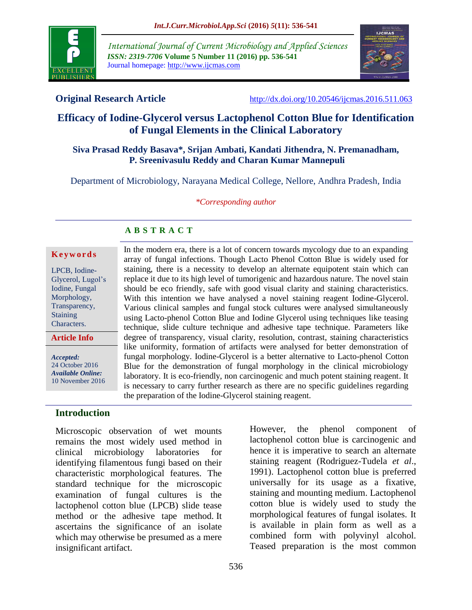

*International Journal of Current Microbiology and Applied Sciences ISSN: 2319-7706* **Volume 5 Number 11 (2016) pp. 536-541** Journal homepage: http://www.ijcmas.com



**Original Research Article** <http://dx.doi.org/10.20546/ijcmas.2016.511.063>

# **Efficacy of Iodine-Glycerol versus Lactophenol Cotton Blue for Identification of Fungal Elements in the Clinical Laboratory**

### **Siva Prasad Reddy Basava\*, Srijan Ambati, Kandati Jithendra, N. Premanadham, P. Sreenivasulu Reddy and Charan Kumar Mannepuli**

Department of Microbiology, Narayana Medical College, Nellore, Andhra Pradesh, India

*\*Corresponding author*

In the modern era, there is a lot of concern towards mycology due to an expanding array of fungal infections. Though Lacto Phenol Cotton Blue is widely used for staining, there is a necessity to develop an alternate equipotent stain which can replace it due to its high level of tumorigenic and hazardous nature. The novel stain should be eco friendly, safe with good visual clarity and staining characteristics. With this intention we have analysed a novel staining reagent Iodine-Glycerol. Various clinical samples and fungal stock cultures were analysed simultaneously using Lacto-phenol Cotton Blue and Iodine Glycerol using techniques like teasing technique, slide culture technique and adhesive tape technique. Parameters like degree of transparency, visual clarity, resolution, contrast, staining characteristics like uniformity, formation of artifacts were analysed for better demonstration of fungal morphology. Iodine-Glycerol is a better alternative to Lacto-phenol Cotton Blue for the demonstration of fungal morphology in the clinical microbiology laboratory. It is eco-friendly, non carcinogenic and much potent staining reagent. It

## **A B S T R A C T**

#### **K e y w o r d s**

LPCB, Iodine-Glycerol, Lugol's Iodine, Fungal Morphology, Transparency, **Staining** Characters.

**Article Info**

*Accepted:*  24 October 2016 *Available Online:* 10 November 2016

## **Introduction**

Microscopic observation of wet mounts remains the most widely used method in clinical microbiology laboratories for identifying filamentous fungi based on their characteristic morphological features. The standard technique for the microscopic examination of fungal cultures is the lactophenol cotton blue (LPCB) slide tease method or the adhesive tape method. It ascertains the significance of an isolate which may otherwise be presumed as a mere insignificant artifact.

However, the phenol component of lactophenol cotton blue is carcinogenic and hence it is imperative to search an alternate staining reagent (Rodriguez-Tudela *et al*., 1991). Lactophenol cotton blue is preferred universally for its usage as a fixative, staining and mounting medium. Lactophenol cotton blue is widely used to study the morphological features of fungal isolates. It is available in plain form as well as a combined form with polyvinyl alcohol. is necessary to carry further research as there are no specific guidelines regarding the preparation of the Iodine-Glycerol staining reagent.

Teased preparation is the most common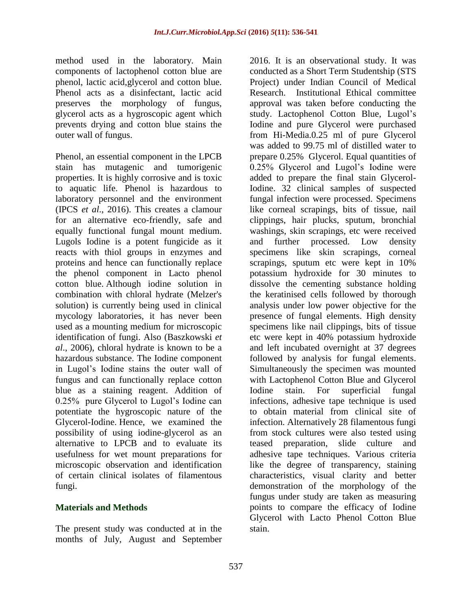method used in the laboratory. Main components of lactophenol cotton blue are phenol, lactic acid,glycerol and cotton blue. Phenol acts as a disinfectant, lactic acid preserves the morphology of fungus, glycerol acts as a hygroscopic agent which prevents drying and cotton blue stains the outer wall of fungus.

Phenol, an essential component in the LPCB stain has mutagenic and tumorigenic properties. It is highly corrosive and is toxic to aquatic life. Phenol is hazardous to laboratory personnel and the environment (IPCS *et al*., 2016). This creates a clamour for an alternative eco-friendly, safe and equally functional fungal mount medium. Lugols Iodine is a potent fungicide as it reacts with thiol groups in enzymes and proteins and hence can functionally replace the phenol component in Lacto phenol cotton blue. Although iodine solution in combination with chloral hydrate (Melzer's solution) is currently being used in clinical mycology laboratories, it has never been used as a mounting medium for microscopic identification of fungi. Also (Baszkowski *et al*., 2006), chloral hydrate is known to be a hazardous substance. The Iodine component in Lugol's Iodine stains the outer wall of fungus and can functionally replace cotton blue as a staining reagent. Addition of 0.25% pure Glycerol to Lugol's Iodine can potentiate the hygroscopic nature of the Glycerol-Iodine. Hence, we examined the possibility of using iodine-glycerol as an alternative to LPCB and to evaluate its usefulness for wet mount preparations for microscopic observation and identification of certain clinical isolates of filamentous fungi.

## **Materials and Methods**

The present study was conducted at in the months of July, August and September 2016. It is an observational study. It was conducted as a Short Term Studentship (STS Project) under Indian Council of Medical Research. Institutional Ethical committee approval was taken before conducting the study. Lactophenol Cotton Blue, Lugol's Iodine and pure Glycerol were purchased from Hi-Media.0.25 ml of pure Glycerol was added to 99.75 ml of distilled water to prepare 0.25% Glycerol. Equal quantities of 0.25% Glycerol and Lugol's Iodine were added to prepare the final stain Glycerol-Iodine. 32 clinical samples of suspected fungal infection were processed. Specimens like corneal scrapings, bits of tissue, nail clippings, hair plucks, sputum, bronchial washings, skin scrapings, etc were received and further processed. Low density specimens like skin scrapings, corneal scrapings, sputum etc were kept in 10% potassium hydroxide for 30 minutes to dissolve the cementing substance holding the keratinised cells followed by thorough analysis under low power objective for the presence of fungal elements. High density specimens like nail clippings, bits of tissue etc were kept in 40% potassium hydroxide and left incubated overnight at 37 degrees followed by analysis for fungal elements. Simultaneously the specimen was mounted with Lactophenol Cotton Blue and Glycerol Iodine stain. For superficial fungal infections, adhesive tape technique is used to obtain material from clinical site of infection. Alternatively 28 filamentous fungi from stock cultures were also tested using teased preparation, slide culture and adhesive tape techniques. Various criteria like the degree of transparency, staining characteristics, visual clarity and better demonstration of the morphology of the fungus under study are taken as measuring points to compare the efficacy of Iodine Glycerol with Lacto Phenol Cotton Blue stain.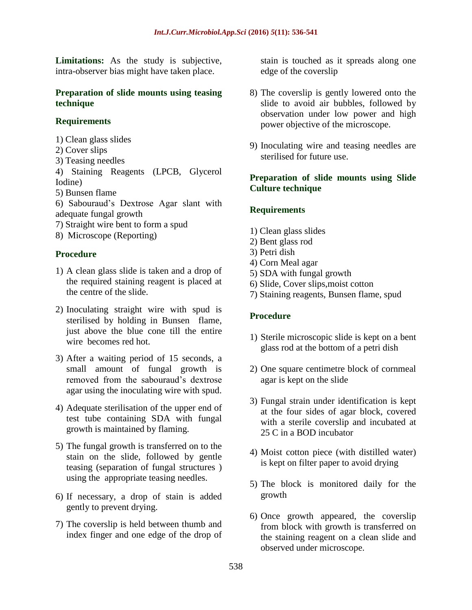Limitations: As the study is subjective, intra-observer bias might have taken place.

#### **Preparation of slide mounts using teasing technique**

## **Requirements**

- 1) Clean glass slides
- 2) Cover slips
- 3) Teasing needles
- 4) Staining Reagents (LPCB, Glycerol Iodine)
- 5) Bunsen flame
- 6) Sabouraud's Dextrose Agar slant with adequate fungal growth
- 7) Straight wire bent to form a spud
- 8) Microscope (Reporting)

## **Procedure**

- 1) A clean glass slide is taken and a drop of the required staining reagent is placed at the centre of the slide.
- 2) Inoculating straight wire with spud is sterilised by holding in Bunsen flame, just above the blue cone till the entire wire becomes red hot.
- 3) After a waiting period of 15 seconds, a small amount of fungal growth is removed from the sabouraud's dextrose agar using the inoculating wire with spud.
- 4) Adequate sterilisation of the upper end of test tube containing SDA with fungal growth is maintained by flaming.
- 5) The fungal growth is transferred on to the stain on the slide, followed by gentle teasing (separation of fungal structures ) using the appropriate teasing needles.
- 6) If necessary, a drop of stain is added gently to prevent drying.
- 7) The coverslip is held between thumb and index finger and one edge of the drop of

stain is touched as it spreads along one edge of the coverslip

- 8) The coverslip is gently lowered onto the slide to avoid air bubbles, followed by observation under low power and high power objective of the microscope.
- 9) Inoculating wire and teasing needles are sterilised for future use.

## **Preparation of slide mounts using Slide Culture technique**

## **Requirements**

- 1) Clean glass slides
- 2) Bent glass rod
- 3) Petri dish
- 4) Corn Meal agar
- 5) SDA with fungal growth
- 6) Slide, Cover slips,moist cotton
- 7) Staining reagents, Bunsen flame, spud

## **Procedure**

- 1) Sterile microscopic slide is kept on a bent glass rod at the bottom of a petri dish
- 2) One square centimetre block of cornmeal agar is kept on the slide
- 3) Fungal strain under identification is kept at the four sides of agar block, covered with a sterile coverslip and incubated at 25 C in a BOD incubator
- 4) Moist cotton piece (with distilled water) is kept on filter paper to avoid drying
- 5) The block is monitored daily for the growth
- 6) Once growth appeared, the coverslip from block with growth is transferred on the staining reagent on a clean slide and observed under microscope.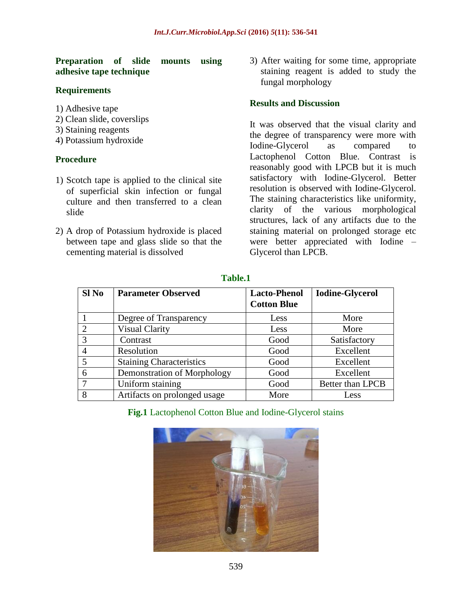#### **Preparation of slide mounts using adhesive tape technique**

#### **Requirements**

- 1) Adhesive tape
- 2) Clean slide, coverslips
- 3) Staining reagents
- 4) Potassium hydroxide

#### **Procedure**

- 1) Scotch tape is applied to the clinical site of superficial skin infection or fungal culture and then transferred to a clean slide
- 2) A drop of Potassium hydroxide is placed between tape and glass slide so that the cementing material is dissolved

3) After waiting for some time, appropriate staining reagent is added to study the fungal morphology

#### **Results and Discussion**

It was observed that the visual clarity and the degree of transparency were more with Iodine-Glycerol as compared to Lactophenol Cotton Blue. Contrast is reasonably good with LPCB but it is much satisfactory with Iodine-Glycerol. Better resolution is observed with Iodine-Glycerol. The staining characteristics like uniformity, clarity of the various morphological structures, lack of any artifacts due to the staining material on prolonged storage etc were better appreciated with Iodine – Glycerol than LPCB.

| $SI$ No | <b>Parameter Observed</b>       | <b>Lacto-Phenol</b><br><b>Cotton Blue</b> | <b>Iodine-Glycerol</b> |
|---------|---------------------------------|-------------------------------------------|------------------------|
|         | Degree of Transparency          | Less                                      | More                   |
| 2       | <b>Visual Clarity</b>           | Less                                      | More                   |
| 3       | Contrast                        | Good                                      | Satisfactory           |
|         | Resolution                      | Good                                      | Excellent              |
| 5       | <b>Staining Characteristics</b> | Good                                      | Excellent              |
| 6       | Demonstration of Morphology     | Good                                      | Excellent              |
| 7       | Uniform staining                | Good                                      | Better than LPCB       |
| 8       | Artifacts on prolonged usage    | More                                      | Less                   |

#### **Table.1**

**Fig.1** Lactophenol Cotton Blue and Iodine-Glycerol stains

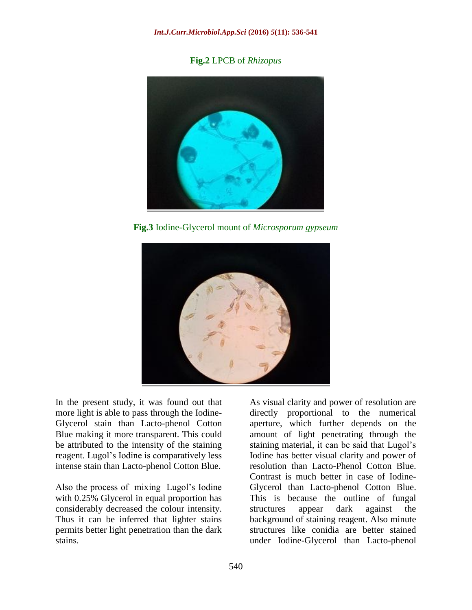**Fig.2** LPCB of *Rhizopus*



**Fig.3** Iodine-Glycerol mount of *Microsporum gypseum*



In the present study, it was found out that more light is able to pass through the Iodine-Glycerol stain than Lacto-phenol Cotton Blue making it more transparent. This could be attributed to the intensity of the staining reagent. Lugol's Iodine is comparatively less intense stain than Lacto-phenol Cotton Blue.

Also the process of mixing Lugol's Iodine with 0.25% Glycerol in equal proportion has considerably decreased the colour intensity. Thus it can be inferred that lighter stains permits better light penetration than the dark stains.

As visual clarity and power of resolution are directly proportional to the numerical aperture, which further depends on the amount of light penetrating through the staining material, it can be said that Lugol's Iodine has better visual clarity and power of resolution than Lacto-Phenol Cotton Blue. Contrast is much better in case of Iodine-Glycerol than Lacto-phenol Cotton Blue. This is because the outline of fungal structures appear dark against the background of staining reagent. Also minute structures like conidia are better stained under Iodine-Glycerol than Lacto-phenol